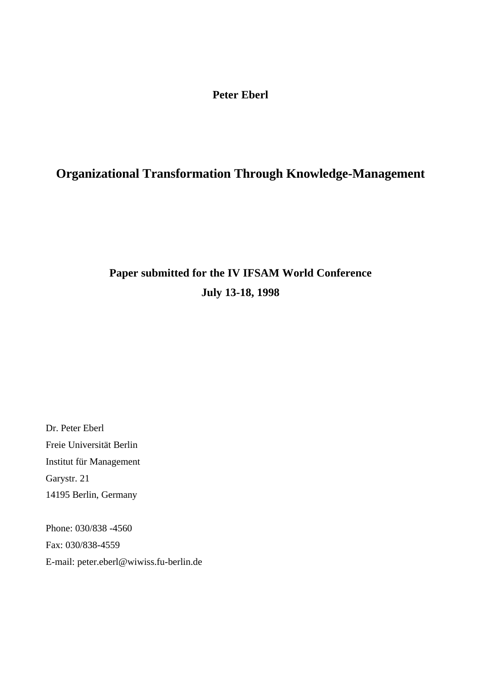# **Peter Eberl**

# **Organizational Transformation Through Knowledge-Management**

# **Paper submitted for the IV IFSAM World Conference July 13-18, 1998**

Dr. Peter Eberl Freie Universität Berlin Institut für Management Garystr. 21 14195 Berlin, Germany

Phone: 030/838 -4560 Fax: 030/838-4559 E-mail: peter.eberl@wiwiss.fu-berlin.de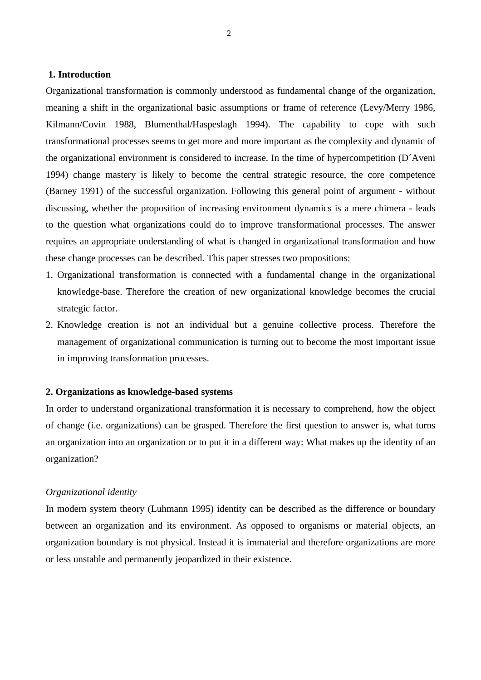# **1. Introduction**

Organizational transformation is commonly understood as fundamental change of the organization, meaning a shift in the organizational basic assumptions or frame of reference (Levy/Merry 1986, Kilmann/Covin 1988, Blumenthal/Haspeslagh 1994). The capability to cope with such transformational processes seems to get more and more important as the complexity and dynamic of the organizational environment is considered to increase. In the time of hypercompetition (D´Aveni 1994) change mastery is likely to become the central strategic resource, the core competence (Barney 1991) of the successful organization. Following this general point of argument - without discussing, whether the proposition of increasing environment dynamics is a mere chimera - leads to the question what organizations could do to improve transformational processes. The answer requires an appropriate understanding of what is changed in organizational transformation and how these change processes can be described. This paper stresses two propositions:

- 1. Organizational transformation is connected with a fundamental change in the organizational knowledge-base. Therefore the creation of new organizational knowledge becomes the crucial strategic factor.
- 2. Knowledge creation is not an individual but a genuine collective process. Therefore the management of organizational communication is turning out to become the most important issue in improving transformation processes.

#### **2. Organizations as knowledge-based systems**

In order to understand organizational transformation it is necessary to comprehend, how the object of change (i.e. organizations) can be grasped. Therefore the first question to answer is, what turns an organization into an organization or to put it in a different way: What makes up the identity of an organization?

#### *Organizational identity*

In modern system theory (Luhmann 1995) identity can be described as the difference or boundary between an organization and its environment. As opposed to organisms or material objects, an organization boundary is not physical. Instead it is immaterial and therefore organizations are more or less unstable and permanently jeopardized in their existence.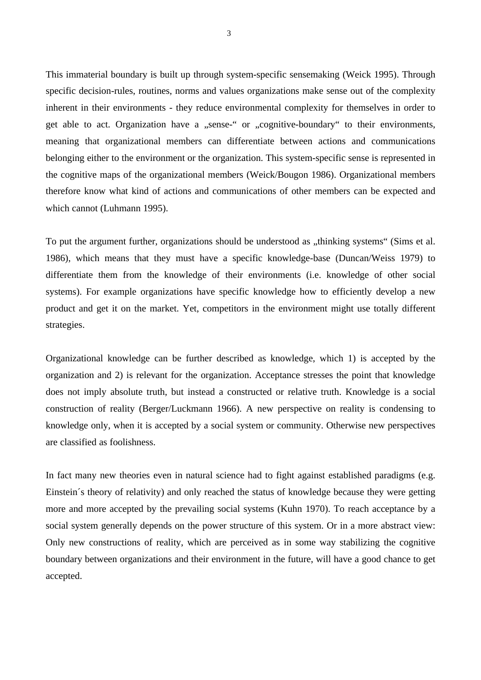This immaterial boundary is built up through system-specific sensemaking (Weick 1995). Through specific decision-rules, routines, norms and values organizations make sense out of the complexity inherent in their environments - they reduce environmental complexity for themselves in order to get able to act. Organization have a "sense-" or "cognitive-boundary" to their environments, meaning that organizational members can differentiate between actions and communications belonging either to the environment or the organization. This system-specific sense is represented in the cognitive maps of the organizational members (Weick/Bougon 1986). Organizational members therefore know what kind of actions and communications of other members can be expected and which cannot (Luhmann 1995).

To put the argument further, organizations should be understood as "thinking systems" (Sims et al. 1986), which means that they must have a specific knowledge-base (Duncan/Weiss 1979) to differentiate them from the knowledge of their environments (i.e. knowledge of other social systems). For example organizations have specific knowledge how to efficiently develop a new product and get it on the market. Yet, competitors in the environment might use totally different strategies.

Organizational knowledge can be further described as knowledge, which 1) is accepted by the organization and 2) is relevant for the organization. Acceptance stresses the point that knowledge does not imply absolute truth, but instead a constructed or relative truth. Knowledge is a social construction of reality (Berger/Luckmann 1966). A new perspective on reality is condensing to knowledge only, when it is accepted by a social system or community. Otherwise new perspectives are classified as foolishness.

In fact many new theories even in natural science had to fight against established paradigms (e.g. Einstein´s theory of relativity) and only reached the status of knowledge because they were getting more and more accepted by the prevailing social systems (Kuhn 1970). To reach acceptance by a social system generally depends on the power structure of this system. Or in a more abstract view: Only new constructions of reality, which are perceived as in some way stabilizing the cognitive boundary between organizations and their environment in the future, will have a good chance to get accepted.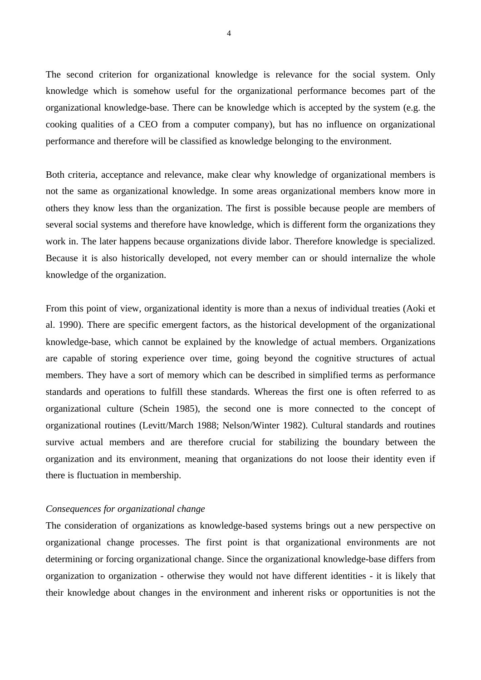The second criterion for organizational knowledge is relevance for the social system. Only knowledge which is somehow useful for the organizational performance becomes part of the organizational knowledge-base. There can be knowledge which is accepted by the system (e.g. the cooking qualities of a CEO from a computer company), but has no influence on organizational performance and therefore will be classified as knowledge belonging to the environment.

Both criteria, acceptance and relevance, make clear why knowledge of organizational members is not the same as organizational knowledge. In some areas organizational members know more in others they know less than the organization. The first is possible because people are members of several social systems and therefore have knowledge, which is different form the organizations they work in. The later happens because organizations divide labor. Therefore knowledge is specialized. Because it is also historically developed, not every member can or should internalize the whole knowledge of the organization.

From this point of view, organizational identity is more than a nexus of individual treaties (Aoki et al. 1990). There are specific emergent factors, as the historical development of the organizational knowledge-base, which cannot be explained by the knowledge of actual members. Organizations are capable of storing experience over time, going beyond the cognitive structures of actual members. They have a sort of memory which can be described in simplified terms as performance standards and operations to fulfill these standards. Whereas the first one is often referred to as organizational culture (Schein 1985), the second one is more connected to the concept of organizational routines (Levitt/March 1988; Nelson/Winter 1982). Cultural standards and routines survive actual members and are therefore crucial for stabilizing the boundary between the organization and its environment, meaning that organizations do not loose their identity even if there is fluctuation in membership.

# *Consequences for organizational change*

The consideration of organizations as knowledge-based systems brings out a new perspective on organizational change processes. The first point is that organizational environments are not determining or forcing organizational change. Since the organizational knowledge-base differs from organization to organization - otherwise they would not have different identities - it is likely that their knowledge about changes in the environment and inherent risks or opportunities is not the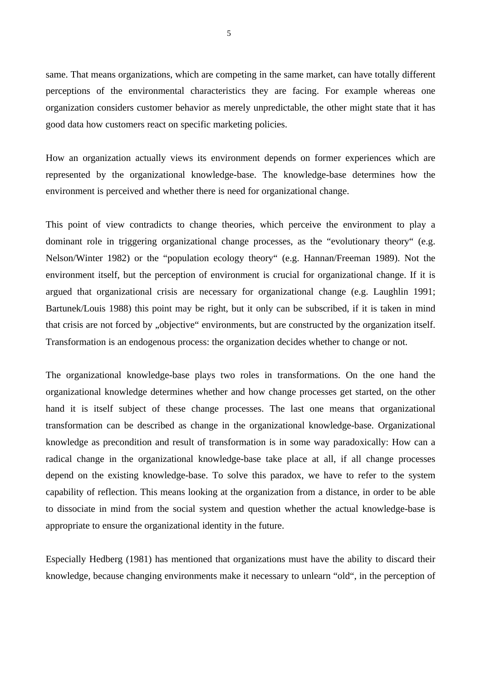same. That means organizations, which are competing in the same market, can have totally different perceptions of the environmental characteristics they are facing. For example whereas one organization considers customer behavior as merely unpredictable, the other might state that it has good data how customers react on specific marketing policies.

How an organization actually views its environment depends on former experiences which are represented by the organizational knowledge-base. The knowledge-base determines how the environment is perceived and whether there is need for organizational change.

This point of view contradicts to change theories, which perceive the environment to play a dominant role in triggering organizational change processes, as the "evolutionary theory" (e.g. Nelson/Winter 1982) or the "population ecology theory" (e.g. Hannan/Freeman 1989). Not the environment itself, but the perception of environment is crucial for organizational change. If it is argued that organizational crisis are necessary for organizational change (e.g. Laughlin 1991; Bartunek/Louis 1988) this point may be right, but it only can be subscribed, if it is taken in mind that crisis are not forced by "objective" environments, but are constructed by the organization itself. Transformation is an endogenous process: the organization decides whether to change or not.

The organizational knowledge-base plays two roles in transformations. On the one hand the organizational knowledge determines whether and how change processes get started, on the other hand it is itself subject of these change processes. The last one means that organizational transformation can be described as change in the organizational knowledge-base. Organizational knowledge as precondition and result of transformation is in some way paradoxically: How can a radical change in the organizational knowledge-base take place at all, if all change processes depend on the existing knowledge-base. To solve this paradox, we have to refer to the system capability of reflection. This means looking at the organization from a distance, in order to be able to dissociate in mind from the social system and question whether the actual knowledge-base is appropriate to ensure the organizational identity in the future.

Especially Hedberg (1981) has mentioned that organizations must have the ability to discard their knowledge, because changing environments make it necessary to unlearn "old", in the perception of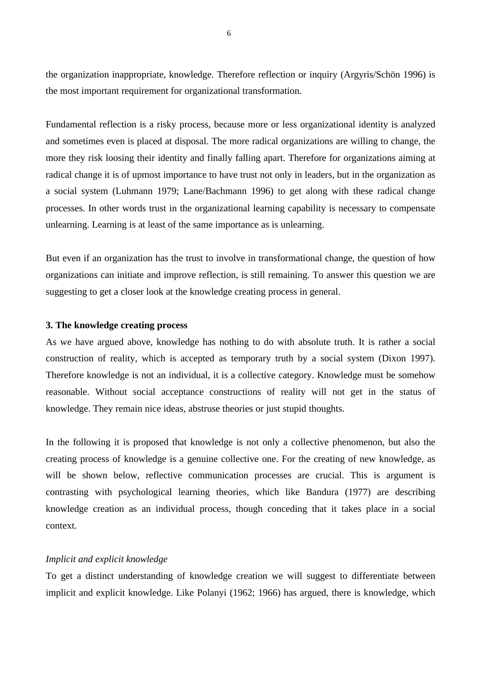the organization inappropriate, knowledge. Therefore reflection or inquiry (Argyris/Schön 1996) is the most important requirement for organizational transformation.

Fundamental reflection is a risky process, because more or less organizational identity is analyzed and sometimes even is placed at disposal. The more radical organizations are willing to change, the more they risk loosing their identity and finally falling apart. Therefore for organizations aiming at radical change it is of upmost importance to have trust not only in leaders, but in the organization as a social system (Luhmann 1979; Lane/Bachmann 1996) to get along with these radical change processes. In other words trust in the organizational learning capability is necessary to compensate unlearning. Learning is at least of the same importance as is unlearning.

But even if an organization has the trust to involve in transformational change, the question of how organizations can initiate and improve reflection, is still remaining. To answer this question we are suggesting to get a closer look at the knowledge creating process in general.

#### **3. The knowledge creating process**

As we have argued above, knowledge has nothing to do with absolute truth. It is rather a social construction of reality, which is accepted as temporary truth by a social system (Dixon 1997). Therefore knowledge is not an individual, it is a collective category. Knowledge must be somehow reasonable. Without social acceptance constructions of reality will not get in the status of knowledge. They remain nice ideas, abstruse theories or just stupid thoughts.

In the following it is proposed that knowledge is not only a collective phenomenon, but also the creating process of knowledge is a genuine collective one. For the creating of new knowledge, as will be shown below, reflective communication processes are crucial. This is argument is contrasting with psychological learning theories, which like Bandura (1977) are describing knowledge creation as an individual process, though conceding that it takes place in a social context.

#### *Implicit and explicit knowledge*

To get a distinct understanding of knowledge creation we will suggest to differentiate between implicit and explicit knowledge. Like Polanyi (1962; 1966) has argued, there is knowledge, which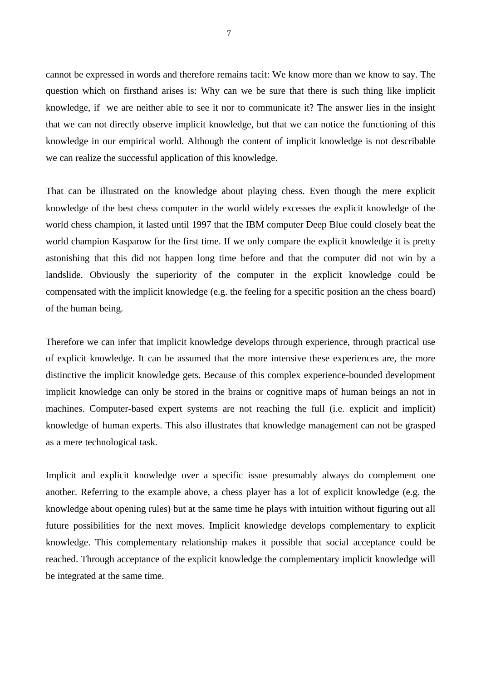cannot be expressed in words and therefore remains tacit: We know more than we know to say. The question which on firsthand arises is: Why can we be sure that there is such thing like implicit knowledge, if we are neither able to see it nor to communicate it? The answer lies in the insight that we can not directly observe implicit knowledge, but that we can notice the functioning of this knowledge in our empirical world. Although the content of implicit knowledge is not describable we can realize the successful application of this knowledge.

That can be illustrated on the knowledge about playing chess. Even though the mere explicit knowledge of the best chess computer in the world widely excesses the explicit knowledge of the world chess champion, it lasted until 1997 that the IBM computer Deep Blue could closely beat the world champion Kasparow for the first time. If we only compare the explicit knowledge it is pretty astonishing that this did not happen long time before and that the computer did not win by a landslide. Obviously the superiority of the computer in the explicit knowledge could be compensated with the implicit knowledge (e.g. the feeling for a specific position an the chess board) of the human being.

Therefore we can infer that implicit knowledge develops through experience, through practical use of explicit knowledge. It can be assumed that the more intensive these experiences are, the more distinctive the implicit knowledge gets. Because of this complex experience-bounded development implicit knowledge can only be stored in the brains or cognitive maps of human beings an not in machines. Computer-based expert systems are not reaching the full (i.e. explicit and implicit) knowledge of human experts. This also illustrates that knowledge management can not be grasped as a mere technological task.

Implicit and explicit knowledge over a specific issue presumably always do complement one another. Referring to the example above, a chess player has a lot of explicit knowledge (e.g. the knowledge about opening rules) but at the same time he plays with intuition without figuring out all future possibilities for the next moves. Implicit knowledge develops complementary to explicit knowledge. This complementary relationship makes it possible that social acceptance could be reached. Through acceptance of the explicit knowledge the complementary implicit knowledge will be integrated at the same time.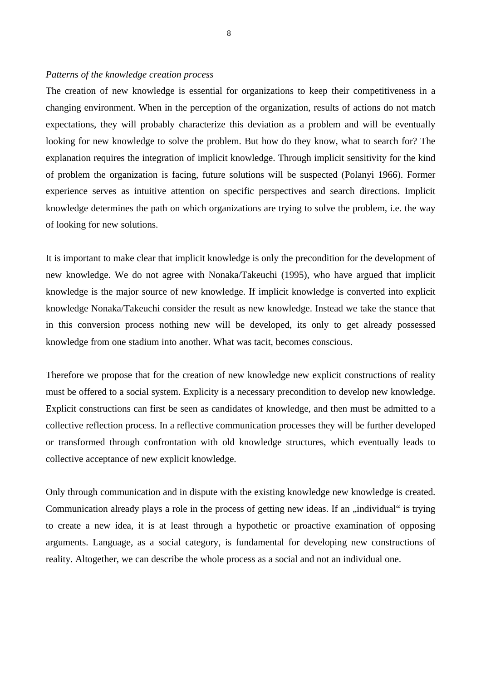# *Patterns of the knowledge creation process*

The creation of new knowledge is essential for organizations to keep their competitiveness in a changing environment. When in the perception of the organization, results of actions do not match expectations, they will probably characterize this deviation as a problem and will be eventually looking for new knowledge to solve the problem. But how do they know, what to search for? The explanation requires the integration of implicit knowledge. Through implicit sensitivity for the kind of problem the organization is facing, future solutions will be suspected (Polanyi 1966). Former experience serves as intuitive attention on specific perspectives and search directions. Implicit knowledge determines the path on which organizations are trying to solve the problem, i.e. the way of looking for new solutions.

It is important to make clear that implicit knowledge is only the precondition for the development of new knowledge. We do not agree with Nonaka/Takeuchi (1995), who have argued that implicit knowledge is the major source of new knowledge. If implicit knowledge is converted into explicit knowledge Nonaka/Takeuchi consider the result as new knowledge. Instead we take the stance that in this conversion process nothing new will be developed, its only to get already possessed knowledge from one stadium into another. What was tacit, becomes conscious.

Therefore we propose that for the creation of new knowledge new explicit constructions of reality must be offered to a social system. Explicity is a necessary precondition to develop new knowledge. Explicit constructions can first be seen as candidates of knowledge, and then must be admitted to a collective reflection process. In a reflective communication processes they will be further developed or transformed through confrontation with old knowledge structures, which eventually leads to collective acceptance of new explicit knowledge.

Only through communication and in dispute with the existing knowledge new knowledge is created. Communication already plays a role in the process of getting new ideas. If an "individual" is trying to create a new idea, it is at least through a hypothetic or proactive examination of opposing arguments. Language, as a social category, is fundamental for developing new constructions of reality. Altogether, we can describe the whole process as a social and not an individual one.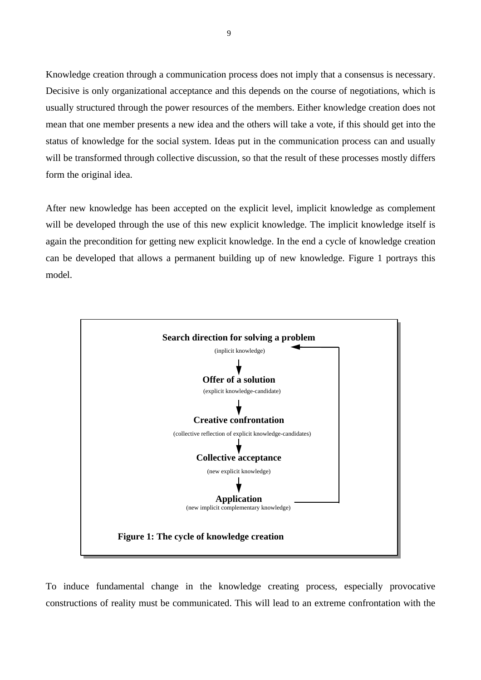Knowledge creation through a communication process does not imply that a consensus is necessary. Decisive is only organizational acceptance and this depends on the course of negotiations, which is usually structured through the power resources of the members. Either knowledge creation does not mean that one member presents a new idea and the others will take a vote, if this should get into the status of knowledge for the social system. Ideas put in the communication process can and usually will be transformed through collective discussion, so that the result of these processes mostly differs form the original idea.

After new knowledge has been accepted on the explicit level, implicit knowledge as complement will be developed through the use of this new explicit knowledge. The implicit knowledge itself is again the precondition for getting new explicit knowledge. In the end a cycle of knowledge creation can be developed that allows a permanent building up of new knowledge. Figure 1 portrays this model.



To induce fundamental change in the knowledge creating process, especially provocative constructions of reality must be communicated. This will lead to an extreme confrontation with the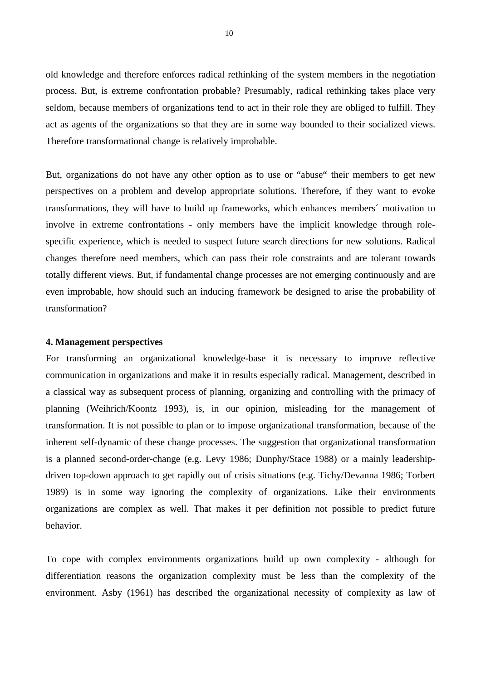old knowledge and therefore enforces radical rethinking of the system members in the negotiation process. But, is extreme confrontation probable? Presumably, radical rethinking takes place very seldom, because members of organizations tend to act in their role they are obliged to fulfill. They act as agents of the organizations so that they are in some way bounded to their socialized views. Therefore transformational change is relatively improbable.

But, organizations do not have any other option as to use or "abuse" their members to get new perspectives on a problem and develop appropriate solutions. Therefore, if they want to evoke transformations, they will have to build up frameworks, which enhances members´ motivation to involve in extreme confrontations - only members have the implicit knowledge through rolespecific experience, which is needed to suspect future search directions for new solutions. Radical changes therefore need members, which can pass their role constraints and are tolerant towards totally different views. But, if fundamental change processes are not emerging continuously and are even improbable, how should such an inducing framework be designed to arise the probability of transformation?

#### **4. Management perspectives**

For transforming an organizational knowledge-base it is necessary to improve reflective communication in organizations and make it in results especially radical. Management, described in a classical way as subsequent process of planning, organizing and controlling with the primacy of planning (Weihrich/Koontz 1993), is, in our opinion, misleading for the management of transformation. It is not possible to plan or to impose organizational transformation, because of the inherent self-dynamic of these change processes. The suggestion that organizational transformation is a planned second-order-change (e.g. Levy 1986; Dunphy/Stace 1988) or a mainly leadershipdriven top-down approach to get rapidly out of crisis situations (e.g. Tichy/Devanna 1986; Torbert 1989) is in some way ignoring the complexity of organizations. Like their environments organizations are complex as well. That makes it per definition not possible to predict future behavior.

To cope with complex environments organizations build up own complexity - although for differentiation reasons the organization complexity must be less than the complexity of the environment. Asby (1961) has described the organizational necessity of complexity as law of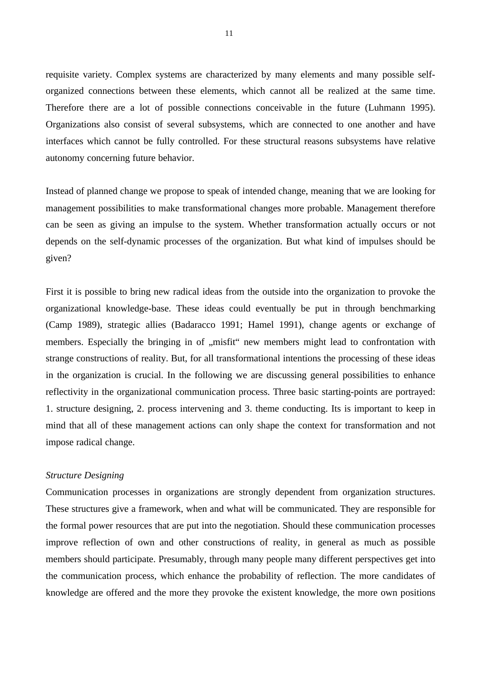requisite variety. Complex systems are characterized by many elements and many possible selforganized connections between these elements, which cannot all be realized at the same time. Therefore there are a lot of possible connections conceivable in the future (Luhmann 1995). Organizations also consist of several subsystems, which are connected to one another and have interfaces which cannot be fully controlled. For these structural reasons subsystems have relative autonomy concerning future behavior.

Instead of planned change we propose to speak of intended change, meaning that we are looking for management possibilities to make transformational changes more probable. Management therefore can be seen as giving an impulse to the system. Whether transformation actually occurs or not depends on the self-dynamic processes of the organization. But what kind of impulses should be given?

First it is possible to bring new radical ideas from the outside into the organization to provoke the organizational knowledge-base. These ideas could eventually be put in through benchmarking (Camp 1989), strategic allies (Badaracco 1991; Hamel 1991), change agents or exchange of members. Especially the bringing in of "misfit" new members might lead to confrontation with strange constructions of reality. But, for all transformational intentions the processing of these ideas in the organization is crucial. In the following we are discussing general possibilities to enhance reflectivity in the organizational communication process. Three basic starting-points are portrayed: 1. structure designing, 2. process intervening and 3. theme conducting. Its is important to keep in mind that all of these management actions can only shape the context for transformation and not impose radical change.

#### *Structure Designing*

Communication processes in organizations are strongly dependent from organization structures. These structures give a framework, when and what will be communicated. They are responsible for the formal power resources that are put into the negotiation. Should these communication processes improve reflection of own and other constructions of reality, in general as much as possible members should participate. Presumably, through many people many different perspectives get into the communication process, which enhance the probability of reflection. The more candidates of knowledge are offered and the more they provoke the existent knowledge, the more own positions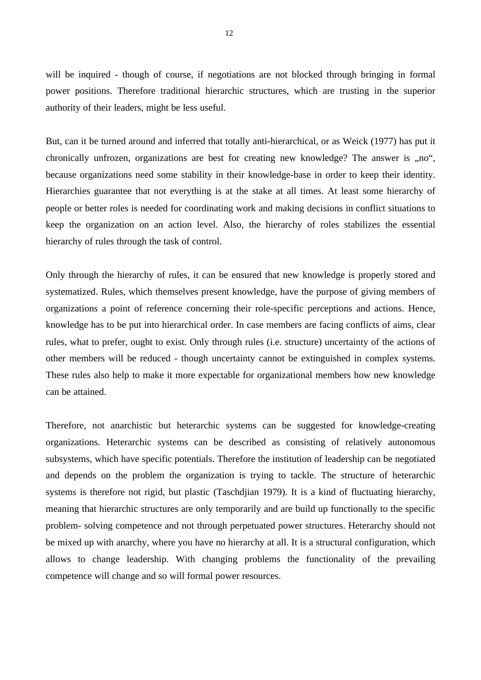will be inquired - though of course, if negotiations are not blocked through bringing in formal power positions. Therefore traditional hierarchic structures, which are trusting in the superior authority of their leaders, might be less useful.

But, can it be turned around and inferred that totally anti-hierarchical, or as Weick (1977) has put it chronically unfrozen, organizations are best for creating new knowledge? The answer is ,,no", because organizations need some stability in their knowledge-base in order to keep their identity. Hierarchies guarantee that not everything is at the stake at all times. At least some hierarchy of people or better roles is needed for coordinating work and making decisions in conflict situations to keep the organization on an action level. Also, the hierarchy of roles stabilizes the essential hierarchy of rules through the task of control.

Only through the hierarchy of rules, it can be ensured that new knowledge is properly stored and systematized. Rules, which themselves present knowledge, have the purpose of giving members of organizations a point of reference concerning their role-specific perceptions and actions. Hence, knowledge has to be put into hierarchical order. In case members are facing conflicts of aims, clear rules, what to prefer, ought to exist. Only through rules (i.e. structure) uncertainty of the actions of other members will be reduced - though uncertainty cannot be extinguished in complex systems. These rules also help to make it more expectable for organizational members how new knowledge can be attained.

Therefore, not anarchistic but heterarchic systems can be suggested for knowledge-creating organizations. Heterarchic systems can be described as consisting of relatively autonomous subsystems, which have specific potentials. Therefore the institution of leadership can be negotiated and depends on the problem the organization is trying to tackle. The structure of heterarchic systems is therefore not rigid, but plastic (Taschdjian 1979). It is a kind of fluctuating hierarchy, meaning that hierarchic structures are only temporarily and are build up functionally to the specific problem- solving competence and not through perpetuated power structures. Heterarchy should not be mixed up with anarchy, where you have no hierarchy at all. It is a structural configuration, which allows to change leadership. With changing problems the functionality of the prevailing competence will change and so will formal power resources.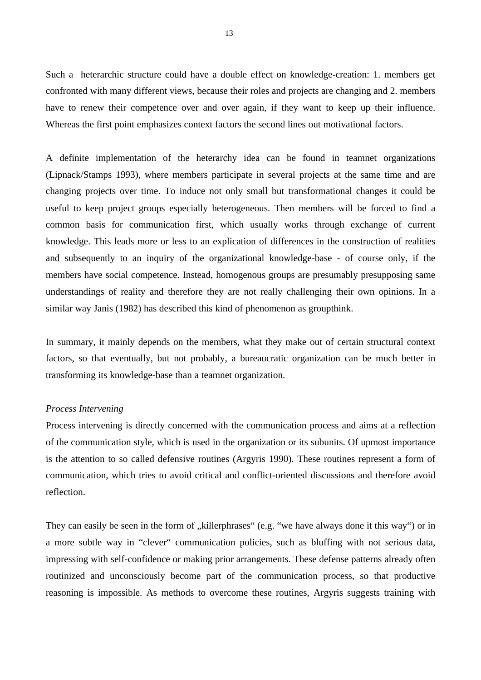Such a heterarchic structure could have a double effect on knowledge-creation: 1. members get confronted with many different views, because their roles and projects are changing and 2. members have to renew their competence over and over again, if they want to keep up their influence. Whereas the first point emphasizes context factors the second lines out motivational factors.

A definite implementation of the heterarchy idea can be found in teamnet organizations (Lipnack/Stamps 1993), where members participate in several projects at the same time and are changing projects over time. To induce not only small but transformational changes it could be useful to keep project groups especially heterogeneous. Then members will be forced to find a common basis for communication first, which usually works through exchange of current knowledge. This leads more or less to an explication of differences in the construction of realities and subsequently to an inquiry of the organizational knowledge-base - of course only, if the members have social competence. Instead, homogenous groups are presumably presupposing same understandings of reality and therefore they are not really challenging their own opinions. In a similar way Janis (1982) has described this kind of phenomenon as groupthink.

In summary, it mainly depends on the members, what they make out of certain structural context factors, so that eventually, but not probably, a bureaucratic organization can be much better in transforming its knowledge-base than a teamnet organization.

#### *Process Intervening*

Process intervening is directly concerned with the communication process and aims at a reflection of the communication style, which is used in the organization or its subunits. Of upmost importance is the attention to so called defensive routines (Argyris 1990). These routines represent a form of communication, which tries to avoid critical and conflict-oriented discussions and therefore avoid reflection.

They can easily be seen in the form of "killerphrases" (e.g. "we have always done it this way") or in a more subtle way in "clever" communication policies, such as bluffing with not serious data, impressing with self-confidence or making prior arrangements. These defense patterns already often routinized and unconsciously become part of the communication process, so that productive reasoning is impossible. As methods to overcome these routines, Argyris suggests training with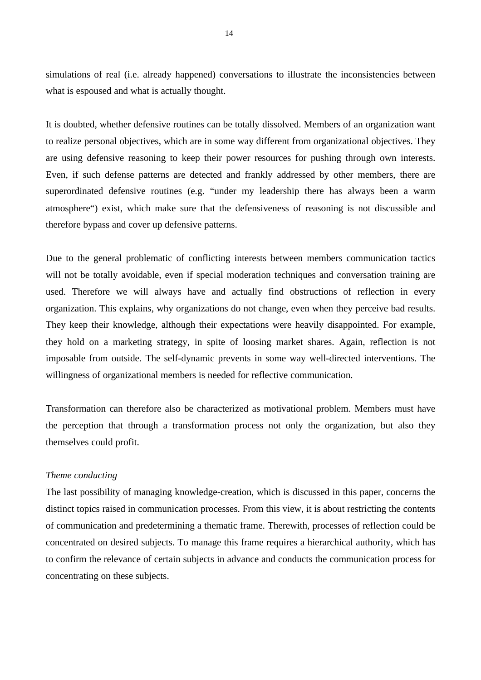simulations of real (i.e. already happened) conversations to illustrate the inconsistencies between what is espoused and what is actually thought.

It is doubted, whether defensive routines can be totally dissolved. Members of an organization want to realize personal objectives, which are in some way different from organizational objectives. They are using defensive reasoning to keep their power resources for pushing through own interests. Even, if such defense patterns are detected and frankly addressed by other members, there are superordinated defensive routines (e.g. "under my leadership there has always been a warm atmosphere") exist, which make sure that the defensiveness of reasoning is not discussible and therefore bypass and cover up defensive patterns.

Due to the general problematic of conflicting interests between members communication tactics will not be totally avoidable, even if special moderation techniques and conversation training are used. Therefore we will always have and actually find obstructions of reflection in every organization. This explains, why organizations do not change, even when they perceive bad results. They keep their knowledge, although their expectations were heavily disappointed. For example, they hold on a marketing strategy, in spite of loosing market shares. Again, reflection is not imposable from outside. The self-dynamic prevents in some way well-directed interventions. The willingness of organizational members is needed for reflective communication.

Transformation can therefore also be characterized as motivational problem. Members must have the perception that through a transformation process not only the organization, but also they themselves could profit.

### *Theme conducting*

The last possibility of managing knowledge-creation, which is discussed in this paper, concerns the distinct topics raised in communication processes. From this view, it is about restricting the contents of communication and predetermining a thematic frame. Therewith, processes of reflection could be concentrated on desired subjects. To manage this frame requires a hierarchical authority, which has to confirm the relevance of certain subjects in advance and conducts the communication process for concentrating on these subjects.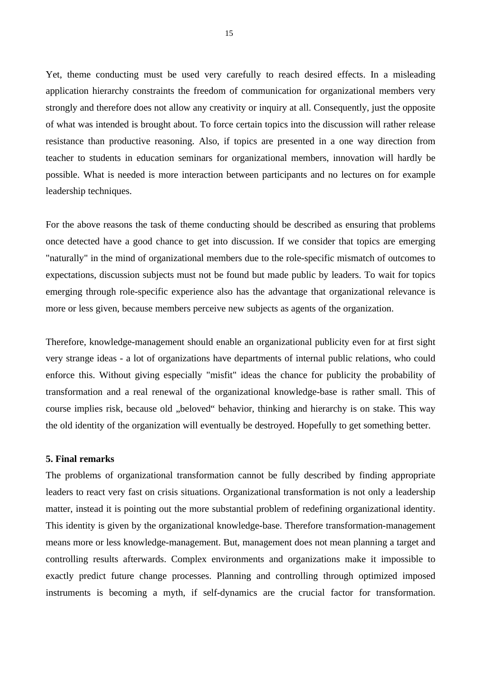Yet, theme conducting must be used very carefully to reach desired effects. In a misleading application hierarchy constraints the freedom of communication for organizational members very strongly and therefore does not allow any creativity or inquiry at all. Consequently, just the opposite of what was intended is brought about. To force certain topics into the discussion will rather release resistance than productive reasoning. Also, if topics are presented in a one way direction from teacher to students in education seminars for organizational members, innovation will hardly be possible. What is needed is more interaction between participants and no lectures on for example leadership techniques.

For the above reasons the task of theme conducting should be described as ensuring that problems once detected have a good chance to get into discussion. If we consider that topics are emerging "naturally" in the mind of organizational members due to the role-specific mismatch of outcomes to expectations, discussion subjects must not be found but made public by leaders. To wait for topics emerging through role-specific experience also has the advantage that organizational relevance is more or less given, because members perceive new subjects as agents of the organization.

Therefore, knowledge-management should enable an organizational publicity even for at first sight very strange ideas - a lot of organizations have departments of internal public relations, who could enforce this. Without giving especially "misfit" ideas the chance for publicity the probability of transformation and a real renewal of the organizational knowledge-base is rather small. This of course implies risk, because old "beloved" behavior, thinking and hierarchy is on stake. This way the old identity of the organization will eventually be destroyed. Hopefully to get something better.

# **5. Final remarks**

The problems of organizational transformation cannot be fully described by finding appropriate leaders to react very fast on crisis situations. Organizational transformation is not only a leadership matter, instead it is pointing out the more substantial problem of redefining organizational identity. This identity is given by the organizational knowledge-base. Therefore transformation-management means more or less knowledge-management. But, management does not mean planning a target and controlling results afterwards. Complex environments and organizations make it impossible to exactly predict future change processes. Planning and controlling through optimized imposed instruments is becoming a myth, if self-dynamics are the crucial factor for transformation.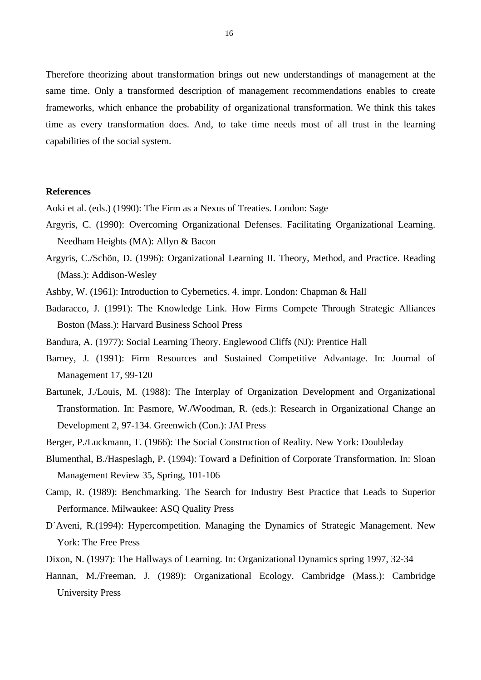Therefore theorizing about transformation brings out new understandings of management at the same time. Only a transformed description of management recommendations enables to create frameworks, which enhance the probability of organizational transformation. We think this takes time as every transformation does. And, to take time needs most of all trust in the learning capabilities of the social system.

# **References**

Aoki et al. (eds.) (1990): The Firm as a Nexus of Treaties. London: Sage

- Argyris, C. (1990): Overcoming Organizational Defenses. Facilitating Organizational Learning. Needham Heights (MA): Allyn & Bacon
- Argyris, C./Schön, D. (1996): Organizational Learning II. Theory, Method, and Practice. Reading (Mass.): Addison-Wesley
- Ashby, W. (1961): Introduction to Cybernetics. 4. impr. London: Chapman & Hall
- Badaracco, J. (1991): The Knowledge Link. How Firms Compete Through Strategic Alliances Boston (Mass.): Harvard Business School Press

Bandura, A. (1977): Social Learning Theory. Englewood Cliffs (NJ): Prentice Hall

- Barney, J. (1991): Firm Resources and Sustained Competitive Advantage. In: Journal of Management 17, 99-120
- Bartunek, J./Louis, M. (1988): The Interplay of Organization Development and Organizational Transformation. In: Pasmore, W./Woodman, R. (eds.): Research in Organizational Change an Development 2, 97-134. Greenwich (Con.): JAI Press
- Berger, P./Luckmann, T. (1966): The Social Construction of Reality. New York: Doubleday
- Blumenthal, B./Haspeslagh, P. (1994): Toward a Definition of Corporate Transformation. In: Sloan Management Review 35, Spring, 101-106
- Camp, R. (1989): Benchmarking. The Search for Industry Best Practice that Leads to Superior Performance. Milwaukee: ASQ Quality Press
- D´Aveni, R.(1994): Hypercompetition. Managing the Dynamics of Strategic Management. New York: The Free Press
- Dixon, N. (1997): The Hallways of Learning. In: Organizational Dynamics spring 1997, 32-34
- Hannan, M./Freeman, J. (1989): Organizational Ecology. Cambridge (Mass.): Cambridge University Press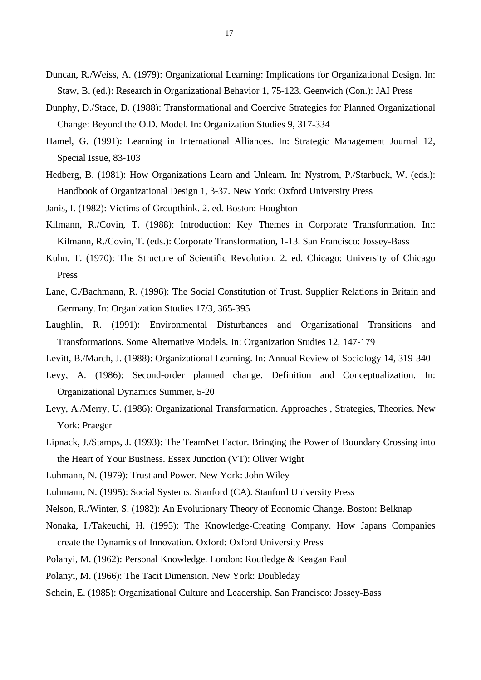- Duncan, R./Weiss, A. (1979): Organizational Learning: Implications for Organizational Design. In: Staw, B. (ed.): Research in Organizational Behavior 1, 75-123. Geenwich (Con.): JAI Press
- Dunphy, D./Stace, D. (1988): Transformational and Coercive Strategies for Planned Organizational Change: Beyond the O.D. Model. In: Organization Studies 9, 317-334
- Hamel, G. (1991): Learning in International Alliances. In: Strategic Management Journal 12, Special Issue, 83-103
- Hedberg, B. (1981): How Organizations Learn and Unlearn. In: Nystrom, P./Starbuck, W. (eds.): Handbook of Organizational Design 1, 3-37. New York: Oxford University Press
- Janis, I. (1982): Victims of Groupthink. 2. ed. Boston: Houghton
- Kilmann, R./Covin, T. (1988): Introduction: Key Themes in Corporate Transformation. In:: Kilmann, R./Covin, T. (eds.): Corporate Transformation, 1-13. San Francisco: Jossey-Bass
- Kuhn, T. (1970): The Structure of Scientific Revolution. 2. ed. Chicago: University of Chicago Press
- Lane, C./Bachmann, R. (1996): The Social Constitution of Trust. Supplier Relations in Britain and Germany. In: Organization Studies 17/3, 365-395
- Laughlin, R. (1991): Environmental Disturbances and Organizational Transitions and Transformations. Some Alternative Models. In: Organization Studies 12, 147-179

Levitt, B./March, J. (1988): Organizational Learning. In: Annual Review of Sociology 14, 319-340

- Levy, A. (1986): Second-order planned change. Definition and Conceptualization. In: Organizational Dynamics Summer, 5-20
- Levy, A./Merry, U. (1986): Organizational Transformation. Approaches , Strategies, Theories. New York: Praeger
- Lipnack, J./Stamps, J. (1993): The TeamNet Factor. Bringing the Power of Boundary Crossing into the Heart of Your Business. Essex Junction (VT): Oliver Wight
- Luhmann, N. (1979): Trust and Power. New York: John Wiley

Luhmann, N. (1995): Social Systems. Stanford (CA). Stanford University Press

- Nelson, R./Winter, S. (1982): An Evolutionary Theory of Economic Change. Boston: Belknap
- Nonaka, I./Takeuchi, H. (1995): The Knowledge-Creating Company. How Japans Companies create the Dynamics of Innovation. Oxford: Oxford University Press
- Polanyi, M. (1962): Personal Knowledge. London: Routledge & Keagan Paul
- Polanyi, M. (1966): The Tacit Dimension. New York: Doubleday
- Schein, E. (1985): Organizational Culture and Leadership. San Francisco: Jossey-Bass